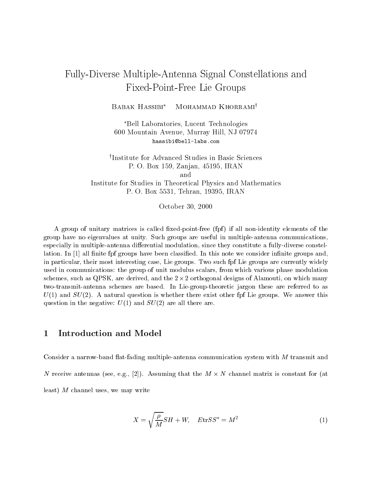# Fully-Diverse Multiple-Antenna Signal Constellations and Fixed-Point-Free Lie Groups

BABAK HASSIBI\* MOHAMMAD KHORRAMI<sup>†</sup>

Bell Laboratories, Lucent Technologies 600 Mountain Avenue, Murray Hill, NJ 07974 hassibi@bell-labs.com

<sup>†</sup>Institute for Advanced Studies in Basic Sciences P. O. Box 159, Zanjan, 45195, IRAN and Institute for Studies in Theoretical Physics and Mathematics P. O. Box 5531, Tehran, 19395, IRAN

October 30, 2000

A group of unitary matrices is called fixed-point-free  $(fpf)$  if all non-identity elements of the group have no eigenvalues at unity. Such groups are useful in multiple-antenna communications, especially in multiple-antenna differential modulation, since they constitute a fully-diverse constellation. In  $[1]$  all finite fpf groups have been classified. In this note we consider infinite groups and, in particular, their most interesting case, Lie groups. Two such fpf Lie groups are currently widely used in communications: the group of unit modulus scalars, from which various phase modulation schemes, such as QT SIX, are derived, and the 2  $\times$  2 orthogonal designs of Alamouti, on which many two-transmit-antenna schemes are based. In Lie-group-theoretic jargon these are referred to as  $U(1)$  and  $SU(2)$ . A natural question is whether there exist other fpf Lie groups. We answer this question in the negative:  $U(1)$  and  $SU(2)$  are all there are.

#### Introduction and Model  $\mathbf{1}$

Consider a narrow-band flat-fading multiple-antenna communication system with  $M$  transmit and  $N$  receive antennas (see, e.g.,  $|2|$ ). Assuming that the  $M \wedge N$  channel matrix is constant for (at least)  $M$  channel uses, we may write

$$
X = \sqrt{\frac{\rho}{M}} SH + W, \quad E \text{tr} S S^* = M^2 \tag{1}
$$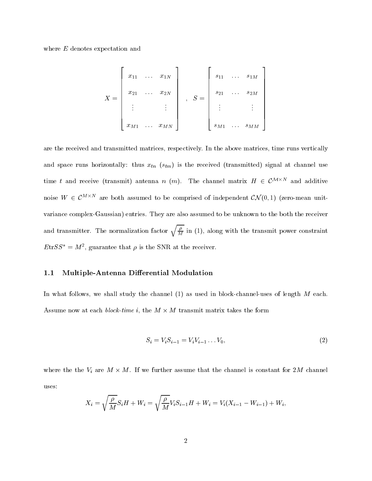where E denotes expectation and

$$
X = \begin{bmatrix} x_{11} & \dots & x_{1N} \\ x_{21} & \dots & x_{2N} \\ \vdots & & \vdots \\ x_{M1} & \dots & x_{MN} \end{bmatrix}, \quad S = \begin{bmatrix} s_{11} & \dots & s_{1M} \\ s_{21} & \dots & s_{2M} \\ \vdots & & \vdots \\ s_{M1} & \dots & s_{MM} \end{bmatrix}
$$

are the received and transmitted matrices, respectively. In the above matrices, time runs vertically and space runs horizontally: thus  $\alpha_{t\ell}$  (step) is the received (transmitted) signal at channel use  $\alpha$ time t and receive (transmit) antenna  $n$  ( $m$ ). The channel matrix  $H \in C^{\infty,\infty}$  and additive noise  $W \in C^{\infty,\infty}$  are both assumed to be comprised of independent  $C$ N (0, 1) (zero-mean unitvariance complex-Gaussian) entries. They are also assumed to be unknown to the both the receiver and transmitter. The normalization factor  $\sqrt{\frac{\rho}{M}}$  in (1), along  $M$ , and the transmit power constraints with the transmit power constraints  $\mathbf{r}$  $E(t)$   $\geq$   $\mathcal{D}$  =  $\mathcal{M}$ , guarantee that  $\rho$  is the SNR at the receiver.

### 1.1 Multiple-Antenna Differential Modulation

In what follows, we shall study the channel (1) as used in block-channel-uses of length M each. Assume now at each *block-time i*, the  $M \wedge M$  transmit matrix takes the form

$$
S_i = V_i S_{i-1} = V_i V_{i-1} \dots V_0,\tag{2}
$$

where the the  $V_i$  are  $M \wedge M$ . If we further assume that the channel is constant for  $2M$  channel uses:

$$
X_i = \sqrt{\frac{\rho}{M}} S_i H + W_i = \sqrt{\frac{\rho}{M}} V_i S_{i-1} H + W_i = V_i (X_{i-1} - W_{i-1}) + W_i,
$$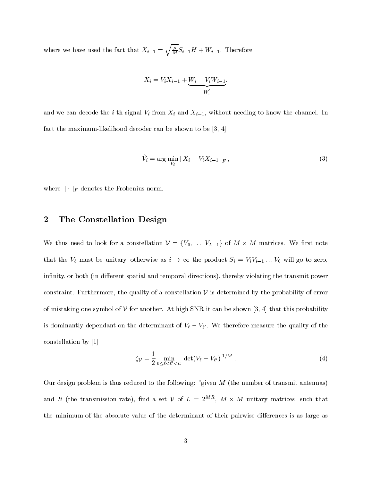where we have used the fact that  $X_{i-1} = \sqrt{\frac{\rho}{M}} S_{i-1} H + W_{i-1}$  $M - i$  is  $i+1$ 

$$
X_i = V_i X_{i-1} + \underbrace{W_i - V_i W_{i-1}}_{W_i'},
$$

and we can decode the internal  $\alpha$  from  $\alpha$   $\beta$  and  $\alpha$  is the channel. In the channel. In the channel. In the channel. In fact the maximum-likelihood decoder can be shown to be [3, 4]

$$
\hat{V}_i = \arg\min_{V_\ell} \|X_i - V_\ell X_{i-1}\|_F, \tag{3}
$$

where  $\|\cdot\|_F$  denotes the Frobenius norm.

#### 2The Constellation Design

We thus need to look for a constenation  $V = \{V_0, \ldots, V_{L-1}\}\$  or  $M \wedge M$  matrices. We first note that the  $V\ell$  must be unitary, otherwise as  $i \to \infty$  the product  $S_i = V_iV_{i-1} \ldots V_0$  will go to zero, infinity, or both (in different spatial and temporal directions), thereby violating the transmit power constraint. Furthermore, the quality of a constellation  $\mathcal V$  is determined by the probability of error of mistaking one symbol of  $V$  for another. At high SNR it can be shown [3, 4] that this probability is dominantly dependant on the determinant or  $v_{\ell} - v_{\ell}$ . We therefore measure the quality of the constellation by [1]

$$
\zeta_{\mathcal{V}} = \frac{1}{2} \min_{0 \le \ell < \ell' < \mathcal{L}} \left| \det(V_{\ell} - V_{\ell'}) \right|^{1/M} . \tag{4}
$$

Our design problem is thus reduced to the following: "given  $M$  (the number of transmit antennas) and  $R$  (the transmission rate), find a set  $V$  of  $L = 2^{m \kappa}$ ,  $M \times M$  unitary matrices, such that the minimum of the absolute value of the determinant of their pairwise differences is as large as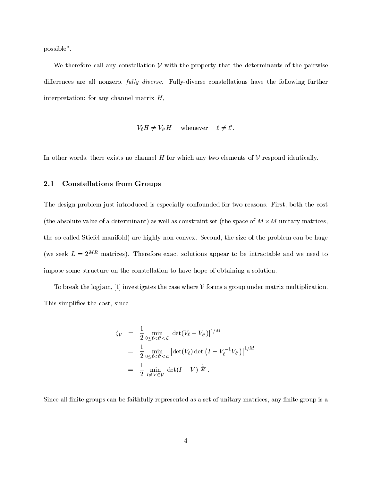possible".

We therefore call any constellation  $V$  with the property that the determinants of the pairwise differences are all nonzero, *fully diverse*. Fully-diverse constellations have the following further interpretation: for any channel matrix  $H$ ,

$$
V_{\ell}H \neq V_{\ell'}H
$$
 whenever  $\ell \neq \ell'.$ 

In other words, there exists no channel  $H$  for which any two elements of  $\mathcal V$  respond identically.

### 2.1 Constellations from Groups

The design problem just introduced is especially confounded for two reasons. First, both the cost (the absolute value of a determinant) as well as constraint set (the space of  $M \wedge M$  -diffualy matrices, the so-called Stiefel manifold) are highly non-convex. Second, the size of the problem can be huge (we seek  $L = 2^{MR}$  matrices). Therefore exact solutions appear to be intractable and we need to impose some structure on the constellation to have hope of obtaining a solution.

To break the logjam, [1] investigates the case where  $V$  forms a group under matrix multiplication. This simplifies the cost, since

$$
\zeta_{\mathcal{V}} = \frac{1}{2} \min_{0 \le \ell < \ell' < \mathcal{L}} |\det(V_{\ell} - V_{\ell'})|^{1/M}
$$
\n
$$
= \frac{1}{2} \min_{0 \le \ell < \ell' < \mathcal{L}} |\det(V_{\ell}) \det(I - V_{\ell}^{-1} V_{\ell'})|^{1/M}
$$
\n
$$
= \frac{1}{2} \min_{I \ne \mathcal{V} \in \mathcal{V}} |\det(I - V)|^{\frac{1}{M}}.
$$

Since all finite groups can be faithfully represented as a set of unitary matrices, any finite group is a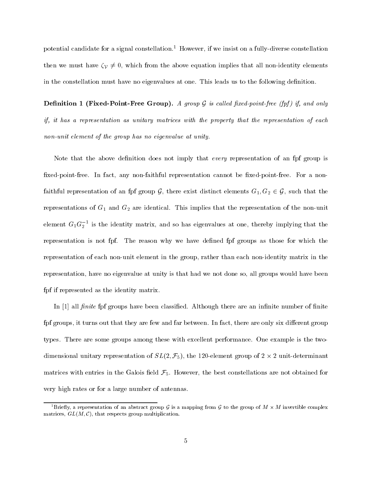potential candidate for a signal constellation.<sup>1</sup> However, if we insist on a fully-diverse constellation then we must have  $\zeta_{\mathcal{V}} \neq 0$ , which from the above equation implies that all non-identity elements in the constellation must have no eigenvalues at one. This leads us to the following definition.

**Definition 1 (Fixed-Point-Free Group).** A group  $\mathcal G$  is called fixed-point-free (fpf) if, and only if, it has a representation as unitary matrices with the property that the representation of each non-unit element of the group has no eigenvalue at unity.

Note that the above definition does not imply that *every* representation of an fpf group is fixed-point-free. In fact, any non-faithful representation cannot be fixed-point-free. For a nonfaithful representation of an fpf group  $G$ , there exist distinct elements  $G_1, G_2 \in \mathcal{G}$ , such that the representations of  $G_1$  and  $G_2$  are identical. This implies that the representation of the non-unit element  $G_1G_2$  " is the identity matrix, and so has eigenvalues at one, thereby implying that the representation is not fpf. The reason why we have dened fpf groups as those for which the representation of each non-unit element in the group, rather than each non-identity matrix in the representation, have no eigenvalue at unity is that had we not done so, all groups would have been fpf if represented as the identity matrix.

In  $[1]$  all *finite* fpf groups have been classified. Although there are an infinite number of finite fpf groups, it turns out that they are few and far between. In fact, there are only six different group types. There are some groups among these with excellent performance. One example is the twodimensional unitary representation of  $\partial D(2, J_5)$ , the 120-element group of 2  $\times$  2 unit-determinant matrices with entries in the Galois field  $\mathcal{F}_5$ . However, the best constellations are not obtained for very high rates or for a large number of antennas.

<sup>-</sup>Brieny, a representation of an abstract group  $\cal G$  is a mapping from  $\cal G$  to the group of  $M$   $\times$   $M$  invertible complex matrices,  $GL(M, \mathcal{C})$ , that respects group multiplication.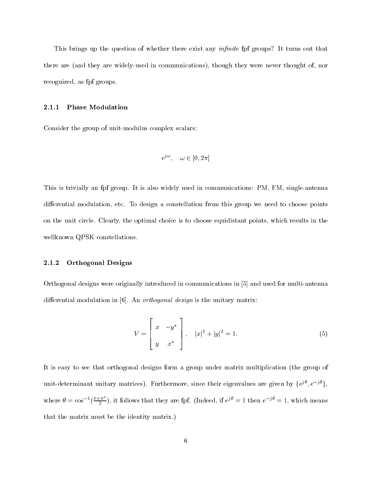This brings up the question of whether there exist any *infinite* for groups? It turns out that there are (and they are widely-used in communications), though they were never thought of, nor recognized, as fpf groups.

#### 2.1.1 Phase Modulation

Consider the group of unit-modulus complex scalars:

$$
e^{j\omega}, \quad \omega \in [0, 2\pi[
$$

This is trivially an fpf group. It is also widely used in communications: PM, FM, single-antenna differential modulation, etc. To design a constellation from this group we need to choose points on the unit circle. Clearly, the optimal choice is to choose equidistant points, which results in the wellknown QPSK constellations.

#### 2.1.2 Orthogonal Designs

Orthogonal designs were originally introduced in communications in [5] and used for multi-antenna differential modulation in  $[6]$ . An *orthogonal design* is the unitary matrix:

$$
V = \begin{bmatrix} x & -y^* \\ y & x^* \end{bmatrix}, \quad |x|^2 + |y|^2 = 1.
$$
 (5)

It is easy to see that orthogonal designs form a group under matrix multiplication (the group of unit-determinant unitary matrices). Furthermore, since their eigenvalues are given by  $\{e^j, e^{-j\gamma}\}$ , where  $\theta = \cos^{-1}(\frac{x+x}{2})$ , it follows that they are fpf. (Indeed, if  $e^{j\theta} = 1$  then  $e^{-j\theta} = 1$ , which means that the matrix must be the identity matrix.)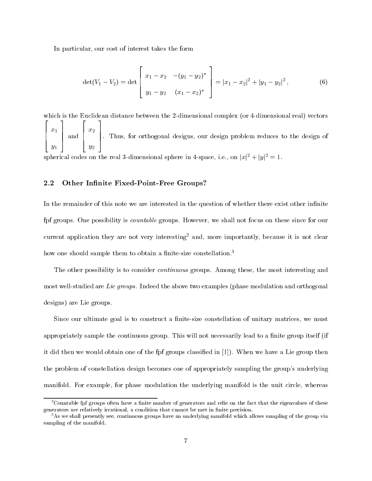In particular, our cost of interest takes the form

$$
\det(V_1 - V_2) = \det \left[ \begin{array}{cc} x_1 - x_2 & -(y_1 - y_2)^* \\ y_1 - y_2 & (x_1 - x_2)^* \end{array} \right] = |x_1 - x_2|^2 + |y_1 - y_2|^2, \tag{6}
$$

which is the Euclidean distance between the 2-dimensional complex (or 4-dimensional real) vectors  $2.22$   $2.22$   $2.22$   $2.22$   $2.22$   $2.22$   $2.22$   $2.22$   $2.22$   $2.22$   $2.22$   $2.22$   $2.22$   $2.22$   $2.22$   $2.22$   $2.22$   $2.22$   $2.22$   $2.22$   $2.22$   $2.22$   $2.22$   $2.22$   $2.22$   $2.22$   $2.22$   $2.22$   $2.22$   $2.22$   $2.22$   $2.2$  $\begin{vmatrix} \cdot & \cdot \\ \cdot & \cdot \end{vmatrix}$  and x1  $71 \quad 1 \quad 22$ <sup>3</sup>  $\vert$  and  $\vert$   $\vert$ .  $2.22$   $2.22$   $2.22$   $2.22$   $2.22$   $2.22$   $2.22$   $2.22$   $2.22$   $2.22$   $2.22$   $2.22$   $2.22$   $2.22$   $2.22$   $2.22$   $2.22$   $2.22$   $2.22$   $2.22$   $2.22$   $2.22$   $2.22$   $2.22$   $2.22$   $2.22$   $2.22$   $2.22$   $2.22$   $2.22$   $2.22$   $2.2$  $\begin{vmatrix} 1 & 1 \end{vmatrix}$ . The x2  $\boldsymbol{\eta}$  and  $\boldsymbol{\eta}$ and the state of the state of the state of the state of the state of the state of the state of the state of th <sup>7</sup> <sup>7</sup> 5. Thus, for orthogonal designs, our design problem reduces to the design of spherical codes on the real 3-dimensional sphere in 4-space, i.e., on  $|x|^2 + |y|^2 = 1$ .

### 2.2 Other Infinite Fixed-Point-Free Groups?

In the remainder of this note we are interested in the question of whether there exist other infinite fpf groups. One possibility is countable groups. However, we shall not focus on these since for our current application they are not very interesting<sup>2</sup> and, more importantly, because it is not clear how one should sample them to obtain a finite-size constellation.<sup>3</sup>

The other possibility is to consider *continuous* groups. Among these, the most interesting and most well-studied are Lie groups. Indeed the above two examples (phase modulation and orthogonal designs) are Lie groups.

Since our ultimate goal is to construct a finite-size constellation of unitary matrices, we must appropriately sample the continuous group. This will not necessarily lead to a finite group itself (if it did then we would obtain one of the fpf groups classied in [1]). When we have a Lie group then the problem of constellation design becomes one of appropriately sampling the group's underlying manifold. For example, for phase modulation the underlying manifold is the unit circle, whereas

 $^2$ Countable fpf groups often have a finite number of generators and relie on the fact that the eigenvalues of these generators are relatively irrational, a condition that cannot be met in finite precision.

<sup>&</sup>lt;sup>3</sup>As we shall presently see, continuous groups have an underlying manifold which allows sampling of the group via sampling of the manifold.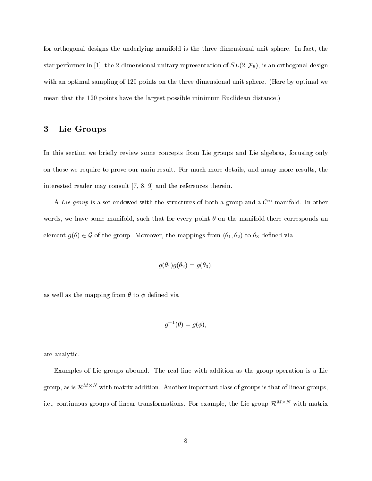for orthogonal designs the underlying manifold is the three dimensional unit sphere. In fact, the star performer in [1], the 2-dimensional unitary representation of  $SL(2, \mathcal{F}_5)$ , is an orthogonal design with an optimal sampling of 120 points on the three dimensional unit sphere. (Here by optimal we mean that the 120 points have the largest possible minimum Euclidean distance.)

#### 3Lie Groups

In this section we briefly review some concepts from Lie groups and Lie algebras, focusing only on those we require to prove our main result. For much more details, and many more results, the interested reader may consult [7, 8, 9] and the references therein.

A Lie group is a set endowed with the structures of both a group and a  $\mathcal{C}^{\infty}$  manifold. In other words, we have some manifold, such that for every point  $\theta$  on the manifold there corresponds an element  $g(\theta) \in \mathcal{G}$  of the group. Moreover, the mappings from  $(\theta_1, \theta_2)$  to  $\theta_3$  defined via

$$
g(\theta_1)g(\theta_2)=g(\theta_3),
$$

as well as the mapping from  $\theta$  to  $\phi$  defined via

$$
g^{-1}(\theta) = g(\phi),
$$

are analytic.

Examples of Lie groups abound. The real line with addition asthe group operation is a Lie group, as is  $\mathcal{K}^{+,-,-}$  with matrix addition. Another important class of groups is that of linear groups, i.e., continuous groups of linear transformations. For example, the Lie group  $\mathcal{K}^-$  with matrix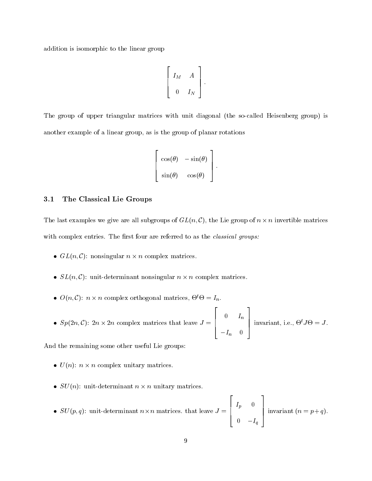addition is isomorphic to the linear group

$$
\left[\begin{array}{cc}\nI_M & A \\
0 & I_N\n\end{array}\right].
$$

The group of upper triangular matrices with unit diagonal (the so-called Heisenberg group) is another example of a linear group, as is the group of planar rotations

$$
\begin{vmatrix}\n\cos(\theta) & -\sin(\theta) \\
\sin(\theta) & \cos(\theta)\n\end{vmatrix}.
$$

<sup>3</sup>

<sup>2</sup>

 $-$  2  $-$  2  $-$  2  $-$  2  $-$  2  $-$  2  $-$  2  $-$  2  $-$  2  $-$  2  $-$  2  $-$  2  $-$  2  $-$  2  $-$  2  $-$  2  $-$  2  $-$  2  $-$  2  $-$  2  $-$  2  $-$  2  $-$  2  $-$  2  $-$  2  $-$  2  $-$  2  $-$  2  $-$  2  $-$  2  $-$  2  $-$  2  $-$  2  $-$  2  $-$  2  $-$  2  $-$  2

<sup>3</sup>

<sup>3</sup>

<u>2005</u> - Paul Corporation (1995) - Paul Corporation (1995) - Paul Corporation (1995) - Paul Corporation (1995) - Paul Corporation (1995) - Paul Corporation (1995) - Paul Corporation (1995) - Paul Corporation (1995) - Paul

### 3.1 The Classical Lie Groups

The last examples we give are all subgroups of  $GL(n, \mathbb{C})$ , the Lie group of  $n \times n$  invertible matrices with complex entries. The first four are referred to as the *classical groups:* 

- $\bullet$  GL(n, C). Honsingular  $n \times n$  complex matrices.
- $\bullet$   $\beta$ L(n, C). unit-determinant nonsingular  $n \times n$  complex matrices.
- $\bullet$   $O(n, C)$ :  $n \times n$  complex orthogonal matrices,  $\Theta \Theta = I_n$ .
- $\bullet$   $\beta p_1 \overline{2n}, \overline{C}$ .  $\overline{2n} \wedge \overline{2n}$  complex matrices that leave  $J = 1$  $\begin{bmatrix} 1 & 1 & 1 \end{bmatrix}$  $-1$   $-1$  $-i$  n  $\cup$  1 | invariant, i.e.,  $\Theta^t J \Theta = J$ .

And the remaining some other useful Lie groups:

- $\bullet$   $\cup$  (*n*). *n*  $\wedge$  *n* complex unitary matrices.
- $\bullet$   $SO(n)$ , unit-determinant  $n \times n$  unitary matrices.
- $\bullet$   $SO(p, q)$ , unit-determinant  $n \times n$  matrices. that leave  $J = 1$  $\begin{bmatrix} \cdot & \cdot & \cdot \\ \cdot & \cdot & \cdot \end{bmatrix}$  $\blacksquare$  $\cup$   $\blacksquare$   $\blacksquare$ | invariant  $(n = p+q)$ .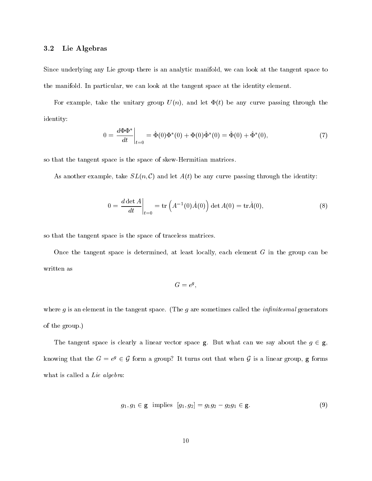### 3.2 Lie Algebras

Since underlying any Lie group there is an analytic manifold, we can look at the tangent space to the manifold. In particular, we can look at the tangent space at the identity element.

For example, take the unitary group  $U(n)$ , and let  $\Phi(t)$  be any curve passing through the identity:

$$
0 = \frac{d\Phi\Phi^*}{dt}\bigg|_{t=0} = \dot{\Phi}(0)\Phi^*(0) + \Phi(0)\dot{\Phi}^*(0) = \dot{\Phi}(0) + \dot{\Phi}^*(0),\tag{7}
$$

so that the tangent space is the space of skew-Hermitian matrices.

As another example, take  $SL(n, \mathcal{C})$  and let  $A(t)$  be any curve passing through the identity:

$$
0 = \frac{d \det A}{dt}\bigg|_{t=0} = \text{tr}\left(A^{-1}(0)\dot{A}(0)\right) \det A(0) = \text{tr}\dot{A}(0),\tag{8}
$$

so that the tangent space is the space of traceless matrices.

Once the tangent space is determined, at least locally, each element  $G$  in the group can be written as

$$
G = e^g,
$$

where  $g$  is an element in the tangent space. (The  $g$  are sometimes called the *infinitesmal* generators of the group.)

The tangent space is clearly a linear vector space g. But what can we say about the  $g \in g$ , knowing that the  $G = e^g \in \mathcal{G}$  form a group? It turns out that when  $\mathcal{G}$  is a linear group,  $\mathbf{g}$  forms what is called a Lie algebra:

$$
g_1, g_1 \in \mathbf{g} \text{ implies } [g_1, g_2] = g_1 g_2 - g_2 g_1 \in \mathbf{g}. \tag{9}
$$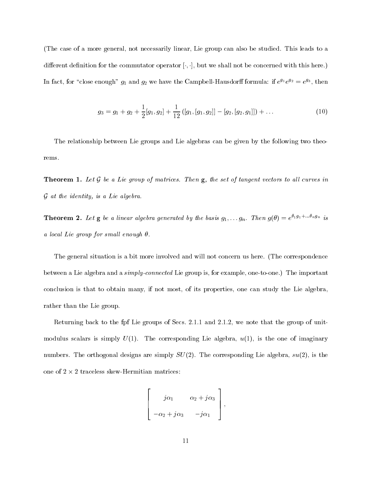(The case of a more general, not necessarily linear, Lie group can also be studied. This leads to a different definition for the commutator operator  $[\cdot, \cdot]$ , but we shall not be concerned with this here.) In fact, for "close enough"  $g_1$  and  $g_2$  we have the Campbell-Hausdorff formula: if  $e^{j_2}e^{j_2}=e^{j_2}$ , then

$$
g_3 = g_1 + g_2 + \frac{1}{2}[g_1, g_2] + \frac{1}{12}([g_1, [g_1, g_2]] - [g_2, [g_2, g_1]]) + \dots
$$
\n(10)

The relationship between Lie groups and Lie algebras can be given by the following two theorems.

**Theorem 1.** Let  $G$  be a Lie group of matrices. Then  $g$ , the set of tangent vectors to all curves in  $G$  at the faction, is a Lie algebra.

**Theorem 2.** Let  $g$  be a linear algebra generated by the basis  $g_1, \ldots, g_n$ . Then  $g(\theta) = e^{i(g_1 + \cdots + g_n)}$  is a local Lie group for small enough  $\theta$ .

The general situation is a bit more involved and will not concern us here. (The correspondence between a Lie algebra and a simply-connected Lie group is, for example, one-to-one.) The important conclusion is that to obtain many, if not most, of its properties, one can study the Lie algebra, rather than the Lie group.

Returning back to the fpf Lie groups of Secs. 2.1.1 and 2.1.2, we note that the group of unitmodulus scalars is simply  $U(1)$ . The corresponding Lie algebra,  $u(1)$ , is the one of imaginary numbers. The orthogonal designs are simply  $SU(2)$ . The corresponding Lie algebra,  $su(2)$ , is the one or  $2 \times 2$  traceless skew-Hermitian matrices.

$$
\left[\begin{array}{cc}j\alpha_1 & \alpha_2 + j\alpha_3 \\ -\alpha_2 + j\alpha_3 & -j\alpha_1\end{array}\right],
$$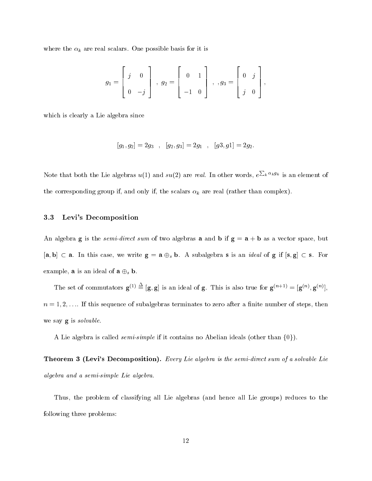where the k are real scalars. One possible basis for it is in  $\mathbb{R}^n$ 

$$
g_1 = \begin{bmatrix} j & 0 \\ 0 & -j \end{bmatrix}, \ g_2 = \begin{bmatrix} 0 & 1 \\ -1 & 0 \end{bmatrix}, \ , g_3 = \begin{bmatrix} 0 & j \\ j & 0 \end{bmatrix},
$$

which is clearly a Lie algebra since

$$
[g_1, g_2]=2g_3 \ \ , \ \ [g_2, g_3]=2g_1 \ \ , \ \ [g3, g1]=2g_2.
$$

Note that both the Lie algebras  $u(1)$  and  $su(2)$  are real. In other words,  $e^{\sum_k \alpha_k g_k}$  is an element of the corresponding and only if, and only if, the scalars complexity if, the scalars k are real (rather than complex).

### 3.3 Levi's Decomposition

An algebra **g** is the *semi-direct sum* of two algebras **a** and **b** if  $\mathbf{g} = \mathbf{a} + \mathbf{b}$  as a vector space, but  $[a, b] \subset a$ . In this case, we write  $g = a \oplus_s b$ . A subalgebra s is an *tacal* of g if  $[s, g] \subset s$ . For example, **a** is an ideal of  $\mathbf{a} \oplus_s \mathbf{b}$ .

The set of commutators  $\mathbf{g}^{(1)} = [\mathbf{g}, \mathbf{g}]$  is an ideal of g. This is also true for  $\mathbf{g}^{(n+1)} = [\mathbf{g}^{(n)}, \mathbf{g}^{(n)}]$ ,  $n = 1, 2, \ldots$  If this sequence of subalgebras terminates to zero after a finite number of steps, then we say **g** is *solvable*.

A Lie algebra is called *semi-simple* if it contains no Abelian ideals (other than  $\{0\}$ ).

**Theorem 3 (Levi's Decomposition).** Every Lie algebra is the semi-direct sum of a solvable Lie algebra and a semi-simple Lie algebra.

Thus, the problem of classifying all Lie algebras (and hence all Lie groups) reduces to the following three problems: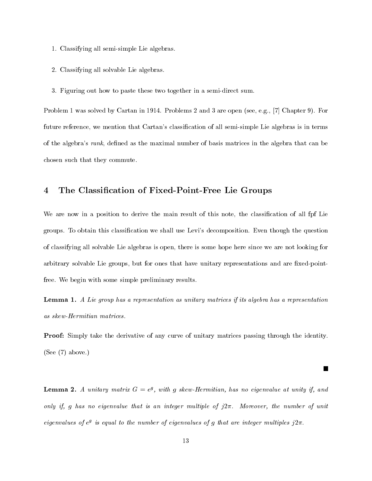- 1. Classifying all semi-simple Lie algebras.
- 2. Classifying all solvable Lie algebras.
- 3. Figuring out how to paste these two together in a semi-direct sum.

Problem 1 was solved by Cartan in 1914. Problems 2 and 3 are open (see, e.g., [7] Chapter 9). For future reference, we mention that Cartan's classification of all semi-simple Lie algebras is in terms of the algebra's rank, defined as the maximal number of basis matrices in the algebra that can be chosen such that they commute.

#### 4The Classication of Fixed-Point-Free Lie Groups

We are now in a position to derive the main result of this note, the classication of all fpf Lie groups. To obtain this classication we shall use Levi's decomposition. Even though the question of classifying all solvable Lie algebras is open, there is some hope here since we are not looking for arbitrary solvable Lie groups, but for ones that have unitary representations and are fixed-pointfree. We begin with some simple preliminary results.

Lemma 1. A Lie group has a representation as unitary matrices if its algebra has a representation as skew-Hermitian matrices.

Proof: Simply take the derivative of any curve of unitary matrices passing through the identity. (See (7) above.)

L.

 $\bf L$ emma 2. A unitary matrix  $\bf G$  =  $e$ <sup>3</sup>, with g skew-Hermitian, has no eigenvalue at unity if, and only if, g has no eigenvalue that is an integer multiple of  $j2\pi$ . Moreover, the number of unit eigenvalues of e<sup>s</sup> is equal to the number of eigenvalues of q that are integer multiples  $\gamma$ 2 $\pi$ .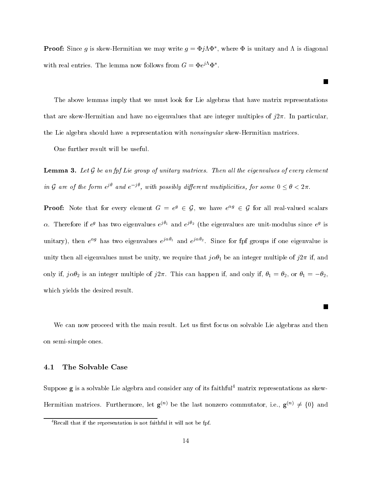**Proof:** Since q is skew-Hermitian we may write  $q = \Psi/\Lambda\Psi$  , where  $\Psi$  is unitary and  $\Lambda$  is diagonal with real entries. The lemma now follows from  $G = \Psi e^{j \cdot \tau} \Psi$ .

 $\mathcal{L}_{\mathcal{A}}$ 

 $\blacksquare$ 

The above lemmas imply that we must look for Lie algebras that have matrix representations that are skew-Hermitian and have no eigenvalues that are integer multiples of  $j2\pi$ . In particular, the Lie algebra should have a representation with nonsingular skew-Hermitian matrices.

One further result will be useful.

Lemma 3. Let  $\mathcal G$  be an fpf Lie group of unitary matrices. Then all the eigenvalues of every element  $in$   $\alpha$  are of the form  $e^{j\alpha}$  and  $e^{-j\alpha}$ .

and y are of the form  $e^{j\alpha}$  and  $e^{-j\alpha}$ , with possibly different mutiplicities, for some  $0 \le \theta < 2\pi$ .<br>Proof: Note that for every element  $G = e^{g} \in G$ , we have  $e^{\alpha g} \in G$  for all real-valued scalars  $\alpha$ . Therefore if  $e^j$  has two eigenvalues  $e^{j+1}$  and  $e^{j+2}$  (the eigenvalues are unit-modulus since  $e^j$  is unitary), then  $e^{-\sigma}$  has two eigenvalues  $e^{\sigma-\sigma}$  and  $e^{\sigma-\sigma}$ . Since for for groups if one eigenvalue is unity then all eigenvalues must be unity, we require that  $j\alpha\theta_1$  be an integer multiple of  $j2\pi$  if, and only if,  $j\alpha\theta_2$  is an integer multiple of  $j2\pi$ . This can happen if, and only if,  $\theta_1 = \theta_2$ , or  $\theta_1 = -\theta_2$ , which yields the desired result.

We can now proceed with the main result. Let us first focus on solvable Lie algebras and then on semi-simple ones.

#### 4.1 The Solvable Case

Suppose g is a solvable Lie algebra and consider any of its faithful<sup>4</sup> matrix representations as skew-Hermitian matrices. Furthermore, let  $g^{(n)}$  be the last nonzero commutator, i.e.,  $g^{(n)} \neq \{0\}$  and

 ${}^{4}$ Recall that if the representation is not faithful it will not be fpf.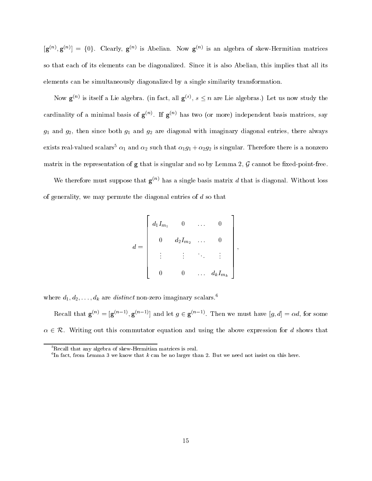$[g^{(n)}, g^{(n)}] = \{0\}$ . Clearly,  $g^{(n)}$  is Abelian. Now  $g^{(n)}$  is an algebra of skew-Hermitian matrices so that each of its elements can be diagonalized. Since it is also Abelian, this implies that all its elements can be simultaneously diagonalized by a single similarity transformation.

Now  $\mathbf{g}^{\scriptscriptstyle{(n)}}$  is itself a Lie algebra. (in fact, all  $\mathbf{g}^{\scriptscriptstyle{(n)}}$ ,  $s \leq n$  are Lie algebras.) Let us now study the cardinality of a minimal basis of  $g^{\scriptscriptstyle\vee\wedge}$ . If  $g^{\scriptscriptstyle\vee\wedge}$  has two (or more) independent basis matrices, say  $g_1$  and  $g_2$ , then since both  $g_1$  and  $g_2$  are diagonal with imaginary diagonal entries, there always exists real-valued scalars<sup>5</sup>  $\alpha_1$  and  $\alpha_2$  such that  $\alpha_1 g_1 + \alpha_2 g_2$  is singular. Therefore there is a nonzero matrix in the representation of  $g$  that is singular and so by Lemma 2,  $\mathcal G$  cannot be fixed-point-free.

We therefore must suppose that  $g^{(n)}$  has a single basis matrix d that is diagonal. Without loss of generality, we may permute the diagonal entries of d so that

$$
d = \left[\begin{array}{cccc} d_1 I_{m_1} & 0 & \ldots & 0 \\ 0 & d_2 I_{m_2} & \ldots & 0 \\ \vdots & \vdots & \ddots & \vdots \\ 0 & 0 & \ldots & d_k I_{m_k} \end{array}\right],
$$

where  $a_1, a_2, \ldots, a_k$  are *aistinct* non-zero imaginary scalars.<sup>4</sup>

Recall that  $\mathbf{g}^{(n)} = [\mathbf{g}^{(n-1)}, \mathbf{g}^{(n-1)}]$  and let  $g \in \mathbf{g}^{(n-1)}$ . Then we must have  $[g, a] = \alpha a$ , for some  $\alpha \in \mathcal{R}$ . Writing out this commutator equation and using the above expression for d shows that

 $5$ Recall that any algebra of skew-Hermitian matrices is real.

In fact, from Lemma 3 we know that  $\kappa$  can be no larger than 2. But we need not insist on this here.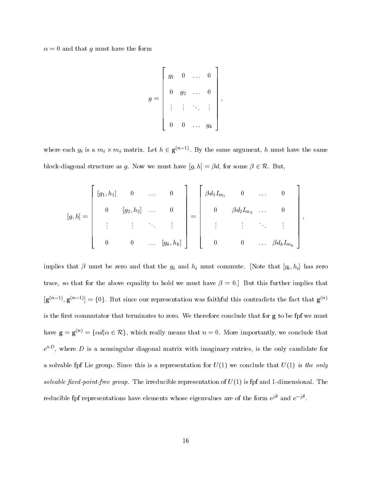$\alpha = 0$  and that g must have the form

$$
g = \left[ \begin{array}{cccc} g_1 & 0 & \ldots & 0 \\ & & & & \\ 0 & g_2 & \ldots & 0 \\ & \vdots & \vdots & \ddots & \vdots \\ & & & & \\ 0 & 0 & \ldots & g_k \end{array} \right],
$$

where each  $g_i$  is a  $m_i \times m_i$  matrix. Let  $n \in \mathbf{g}^{(n-1)}$ . By the same argument, h must have the same block-diagonal structure as g. Now we must have  $[g, h] = \beta d$ , for some  $\beta \in \mathcal{R}$ . But,

$$
[g,h] = \begin{bmatrix} [g_1, h_1] & 0 & \dots & 0 \\ 0 & [g_2, h_2] & \dots & 0 \\ \vdots & \vdots & \ddots & \vdots \\ 0 & 0 & \dots & [g_k, h_k] \end{bmatrix} = \begin{bmatrix} \beta d_1 I_{m_1} & 0 & \dots & 0 \\ 0 & \beta d_2 I_{m_2} & \dots & 0 \\ \vdots & \vdots & \ddots & \vdots \\ 0 & 0 & \dots & \beta d_k I_{m_k} \end{bmatrix},
$$

implies that is that the second that the given that  $\eta$  and his commute commute  $\eta$  ; his commute  $\eta$   $\eta$  ;  $\eta$  ]  $\eta$ trace, so that for the above equality to hold we must have  $\beta = 0$ . But this further implies that  $\left[\mathbf{g}^{(n-1)}, \mathbf{g}^{(n-1)}\right] = \left\{0\right\}.$  But since our representation was faithful this contradicts the fact that  $\mathbf{g}^{(n)}$ is the first commutator that terminates to zero. We therefore conclude that for  $g$  to be fpf we must have  $\mathbf{g} = \mathbf{g}^{(n)} = {\{\alpha d | \alpha \in \mathcal{R}\},\}$ , which really means that  $n = 0$ . More importantly, we conclude that  $e^{+\pm}$ , where  $D$  is a nonsingular diagonal matrix with imaginary entries, is the only candidate for a solvable fpf Lie group. Since this is a representation for  $U(1)$  we conclude that  $U(1)$  is the only solvable fixed-point-free group. The irreducible representation of  $U(1)$  is fpf and 1-dimensional. The reducible tpf representations have elements whose eigenvalues are of the form  $e^j$  and  $e^{-j\tau}$ .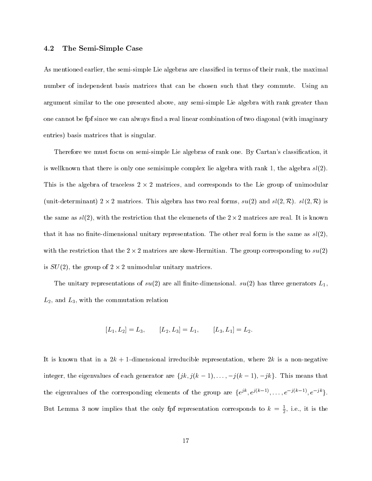### 4.2 The Semi-Simple Case

As mentioned earlier, the semi-simple Lie algebras are classied in terms of their rank, the maximal number of independent basis matrices that can be chosen such that they commute. Using an argument similar to the one presented above, any semi-simple Lie algebra with rank greater than one cannot be fpf since we can always find a real linear combination of two diagonal (with imaginary entries) basis matrices that is singular.

Therefore we must focus on semi-simple Lie algebras of rank one. By Cartan's classication, it is wellknown that there is only one semisimple complex lie algebra with rank 1, the algebra  $sl(2)$ . This is the algebra of traceless  $2 \wedge 2$  matrices, and corresponds to the Lie group of unimodular  $\mu$ unit-determinant) 2  $\wedge$  2 matrices. This algebra has two real forms,  $su(2)$  and  $su(2, N)$ .  $su(2, N)$  is the same as  $\mathfrak{so}(2)$ , with the restriction that the elemenets of the 2  $\wedge$  2 matrices are real. It is known that it has no finite-dimensional unitary representation. The other real form is the same as  $sl(2)$ , with the restriction that the  $2 \times 2$  matrices are skew-Hermitian. The group corresponding to  $su(2)$ is  $SO(2)$ , the group of  $2 \times 2$  unimodular unitary matrices.

The unitary representations of  $su(2)$  are all finite-dimensional.  $su(2)$  has three generators  $L_1$ ,  $L_2$ , and  $L_3$ , with the commutation relation

$$
[L_1, L_2] = L_3, \qquad [L_2, L_3] = L_1, \qquad [L_3, L_1] = L_2.
$$

It is known that in a  $2k + 1$ -dimensional irreducible representation, where  $2k$  is a non-negative integer, the eigenvalues of each generator are  $\{jk, j(k-1), \ldots, -j(k-1), -jk\}$ . This means that the eigenvalues of the corresponding elements of the group are  $\{e^{j\alpha}, e^{j\alpha-2j}, \ldots, e^{-j(\alpha-2j)}, e^{-j\alpha}\}$ . But Lemma 3 now implies that the only fpi representation corresponds to  $\kappa \, = \, \frac{1}{2}, \,$  i.e., it is the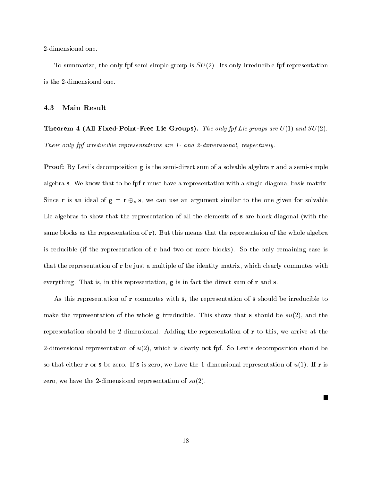2-dimensional one.

To summarize, the only fpf semi-simple group is  $SU(2)$ . Its only irreducible fpf representation is the 2-dimensional one.

#### 4.3 Main Result

**Theorem 4 (All Fixed-Point-Free Lie Groups).** The only fpf Lie groups are  $U(1)$  and  $SU(2)$ . Their only fpf irreducible representations are 1- and 2-dimensional, respectively.

**Proof:** By Levi's decomposition **g** is the semi-direct sum of a solvable algebra **r** and a semi-simple algebra s. We know that to be fpf r must have a representation with a single diagonal basis matrix. Since r is an ideal of  $g - r \bigtriangledown_s s$ , we can use an argument similar to the one given for solvable Lie algebras to show that the representation of all the elements of s are block-diagonal (with the same blocks as the representation of r). But this means that the representaion of the whole algebra is reducible (if the representation of r had two or more blocks). So the only remaining case is that the representation of r be just a multiple of the identity matrix, which clearly commutes with everything. That is, in this representation, g is in fact the direct sum of r and s.

As this representation of r commutes with s, the representation of s should be irreducible to make the representation of the whole **g** irreducible. This shows that **s** should be  $su(2)$ , and the representation should be 2-dimensional. Adding the representation of r to this, we arrive at the 2-dimensional representation of  $u(2)$ , which is clearly not fpf. So Levi's decomposition should be so that either r or s be zero. If s is zero, we have the 1-dimensional representation of  $u(1)$ . If r is zero, we have the 2-dimensional representation of  $su(2)$ .

 $\Box$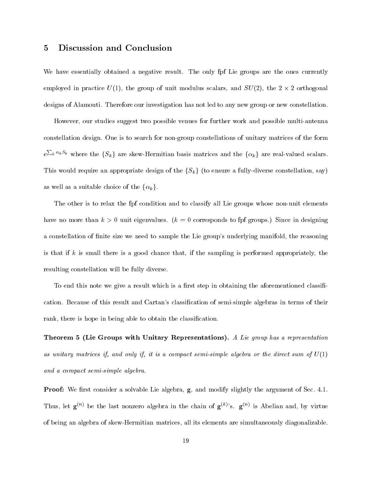#### 5Discussion and Conclusion

We have essentially obtained a negative result. The only fpf Lie groups are the ones currently employed in practice  $U(1)$ , the group of unit modulus scalars, and  $SU(2)$ , the 2  $\wedge$  2 orthogonal designs of Alamouti. Therefore our investigation has not led to any new group or new constellation.

However, our studies suggest two possible venues for further work and possible multi-antenna constellation design. One is to search for non-group constellations of unitary matrices of the form  $e^{\sum_k \alpha_k S_k}$  where the  $\{S_k\}$  are skew-Hermitian basis matrices and the  $\{\alpha_k\}$  are real-valued scalars. This would require an appropriate design of the  $\{S_k\}$  (to ensure a fully-diverse constellation, say) as well as a suitable choice of the  $\{\alpha_k\}.$ 

The other is to relax the fpf condition and to classify all Lie groups whose non-unit elements have no more than  $k > 0$  unit eigenvalues.  $(k = 0$  corresponds to fpf groups.) Since in designing a constellation of finite size we need to sample the Lie group's underlying manifold, the reasoning is that if  $k$  is small there is a good chance that, if the sampling is performed appropriately, the resulting constellation will be fully diverse.

To end this note we give a result which is a first step in obtaining the aforementioned classification. Because of this result and Cartan's classification of semi-simple algebras in terms of their rank, there is hope in being able to obtain the classification.

Theorem 5 (Lie Groups with Unitary Representations). A Lie group has a representation as unitary matrices if, and only if, it is a compact semi-simple algebra or the direct sum of  $U(1)$ and a compact semi-simple algebra.

**Proof:** We first consider a solvable Lie algebra, **g**, and modify slightly the argument of Sec. 4.1. Thus, let  $\mathbf{g}^{(n)}$  be the last nonzero algebra in the chain of  $\mathbf{g}^{(k)}$ 's.  $\mathbf{g}^{(n)}$  is Abelian and, by virtue of being an algebra of skew-Hermitian matrices, all its elements are simultaneously diagonalizable.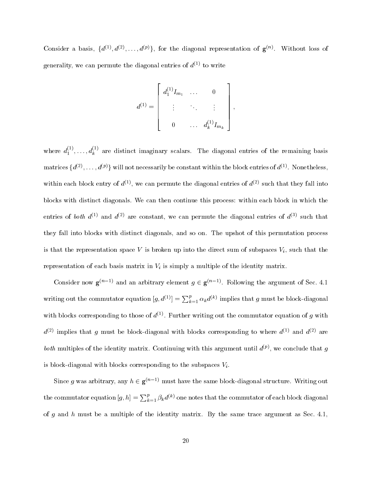Consider a basis,  $\{a^{z_1}, a^{z_2}, \ldots, a^{y_j}\}$ , for the diagonal representation of  $\mathbf{g}^{z_{z_2}}$ . Without loss of generality, we can permute the diagonal entries of  $d^{(1)}$  to write

$$
d^{(1)} = \begin{bmatrix} d_1^{(1)} I_{m_1} & \cdots & 0 \\ \vdots & \ddots & \vdots \\ 0 & \cdots & d_k^{(1)} I_{m_k} \end{bmatrix},
$$

where  $d_1^{\times},\ldots,d_k^{\times}{}'$  are distinct imaginary scalars. The diagonal entries of the remaining basis matrices  $\{a^{(2)}, \ldots, a^{(p)}\}$  will not necessarily be constant within the block entries of  $a^{(2)}$ . Nonetheless, within each block entry of  $d^{(1)}$ , we can permute the diagonal entries of  $d^{(2)}$  such that they fall into blocks with distinct diagonals. We can then continue this process: within each block in which the entries of both  $d^{(1)}$  and  $d^{(2)}$  are constant, we can permute the diagonal entries of  $d^{(3)}$  such that they fallinto blocks with distinct diagonals, and so on. The upshot of this permutation process is that the representation space V is broken up into the direct sum of subspaces  $V_i$ , such that the representation of each basis matrix in Viene of the interpretation of the identity matrix. The interpretation

Consider now  $\mathbf{g}^{(n-1)}$  and an arbitrary element  $q \in \mathbf{g}^{(n-1)}$ . Following the argument of Sec. 4.1 writing out the commutator equation  $[g, d^{(1)}] = \sum_{k=1}^{p} \alpha_k d^{(k)}$  implies that g must be block-diagonal with blocks corresponding to those of  $a_{1}$ . Further writing out the commutator equation of  $q$  with  $d^{(2)}$  implies that g must be block-diagonal with blocks corresponding to where  $d^{(1)}$  and  $d^{(2)}$  are *both* multiples of the identity matrix. Continuing with this argument until  $a^{\varphi}$ , we conclude that  $q$ is block-diagonal with blocks corresponding to the subspaces  $V_i$ .

Since g was arbitrary, any  $h \in \mathbf{g}^{(n-1)}$  must have the same block-diagonal structure. Writing out the commutator equation  $[g,h]=\sum_{k=1}^p\beta_k d^{(k)}$  one notes that the commutator of each block diagonal of g and h must be a multiple of the identity matrix. By the same trace argument as Sec. 4.1,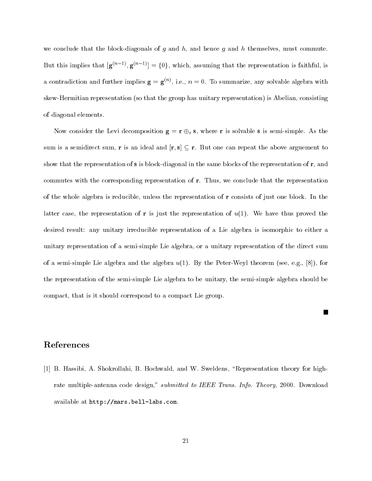we conclude that the block-diagonals of g and  $h$ , and hence g and h themselves, must commute. But this implies that  $[g^{(n-1)}, g^{(n-1)}] = \{0\}$ , which, assuming that the representation is faithful, is a contradiction and further implies  ${\bf g}={\bf g}^{\scriptscriptstyle\rm{(IV)}}$ , i.e.,  $n=0.$  To summarize, any solvable algebra with skew-Hermitian representation (so that the group has unitary representation) is Abelian, consisting of diagonal elements.

Now consider the Levi decomposition  $g = 1 \bigtriangledown_s s$ , where r is solvable s is semi-simple. As the sum is a semidirect sum, r is an ideal and  $[r, s] \subseteq r$ . But one can repeat the above arguement to show that the representation of  $s$  is block-diagonal in the same blocks of the representation of  $r$ , and commutes with the corresponding representation of r. Thus, we conclude that the representation of the whole algebra is reducible, unless the representation of r consists of just one block. In the latter case, the representation of r is just the representation of  $u(1)$ . We have thus proved the desired result: any unitary irreducible representation of a Lie algebra is isomorphic to either a unitary representation of a semi-simple Lie algebra, or a unitary representation of the direct sum of a semi-simple Lie algebra and the algebra  $u(1)$ . By the Peter-Weyl theorem (see, e.g., [8]), for the representation of the semi-simple Lie algebra to be unitary, the semi-simple algebra should be compact, that is it should correspond to a compact Lie group.

## References

[1] B. Hassibi, A. Shokrollahi, B. Hochwald, and W. Sweldens, \Representation theory for highrate multiple-antenna code design," submitted to IEEE Trans. Info. Theory, 2000. Download available at http://mars.bell-labs.com.

H